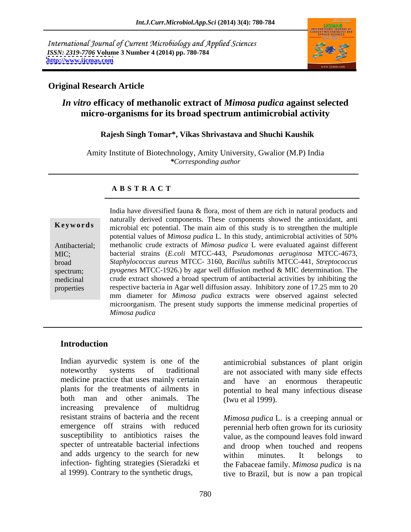International Journal of Current Microbiology and Applied Sciences *ISSN: 2319-7706* **Volume 3 Number 4 (2014) pp. 780-784 <http://www.ijcmas.com>**



### **Original Research Article**

# *In vitro* **efficacy of methanolic extract of** *Mimosa pudica* **against selected micro-organisms for its broad spectrum antimicrobial activity**

### **Rajesh Singh Tomar\*, Vikas Shrivastava and Shuchi Kaushik**

Amity Institute of Biotechnology, Amity University, Gwalior (M.P) India *\*Corresponding author*

### **A B S T R A C T**

**Keywords** microbial etc potential. The main aim of this study is to strengthen the multiple Antibacterial; methanolic crude extracts of *Mimosa pudica* L were evaluated against different MIC; bacterial strains (*E.coli* MTCC-443, *Pseudomonas aeruginosa* MTCC-4673, broad *Staphylococcus aureus* MTCC- 3160, *Bacillus subtilis* MTCC-441, *Streptococcus*  spectrum; *pyogenes* MTCC-1926.) by agar well diffusion method & MIC determination. The medicinal crude extract showed a broad spectrum of antibacterial activities by inhibiting the properties respective bacteria in Agar well diffusion assay. Inhibitory zone of 17.25 mm to 20 India have diversified fauna & flora, most of them are rich in natural products and naturally derived components. These components showed the antioxidant, anti potential values of *Mimosa pudica* L*.* In this study, antimicrobial activities of 50% mm diameter for *Mimosa pudica* extracts were observed against selected microorganism. The present study supports the immense medicinal properties of *Mimosa pudica*

## **Introduction**

Indian ayurvedic system is one of the antimicrobial substances of plant origin noteworthy systems of traditional are not associated with many side effects medicine practice that uses mainly certain plants for the treatments of ailments in potential to heal many infectious disease both man and other animals. The increasing prevalence of multidrug resistant strains of bacteria and the recent emergence off strains with reduced perennial herb often grown for its curiosity susceptibility to antibiotics raises the value, as the compound leaves fold inward specter of untreatable bacterial infections and adds urgency to the search for new within minutes. It belongs to infection- fighting strategies (Sieradzki et al 1999). Contrary to the synthetic drugs,

and have an enormous therapeutic (Iwu et al 1999).

*Mimosa pudica* L. is a creeping annual or and droop when touched and reopens within minutes. It belongs to the Fabaceae family. *Mimosa pudica* is na tive to Brazil, but is now a pan tropical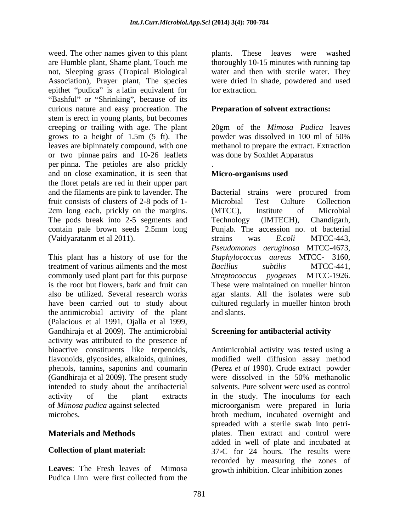weed. The other names given to this plant plants. are Humble plant, Shame plant, Touch me not, Sleeping grass (Tropical Biological Association), Prayer plant, The species were dried in entitled in entity is a latin equivalent for for extraction. epithet "pudica" is a latin equivalent for "Bashful" or "Shrinking", because of its curious nature and easy procreation. The stem is erect in young plants, but becomes creeping or trailing with age. The plant 20gm of the *Mimosa Pudica* leaves grows to a height of 1.5m (5 ft). The leaves are bipinnately compound, with one methanol to prepare the extract. Extraction or two pinnae pairs and 10-26 leaflets per pinna. The petioles are also prickly and on close examination, it is seen that **Micro-organisms used** the floret petals are red in their upper part and the filaments are pink to lavender. The Bacterial strains were procured from fruit consists of clusters of 2-8 pods of 1-<br>Microbial Test Culture Collection 2cm long each, prickly on the margins. (MTCC), Institute of Microbial The pods break into 2-5 segments and Technology (IMTECH), Chandigarh, contain pale brown seeds 2.5mm long Punjab. The accession no. of bacterial (Vaidyaratanm et al 2011). The strains was E.coli MTCC-443,

This plant has a history of use for the treatment of various ailments and the most Bacillus subtilis MTCC-441, commonly used plant part for this purpose Streptococcus pyogenes MTCC-1926. is the root but flowers, bark and fruit can These were maintained on mueller hinton also be utilized. Several research works agar slants. All the isolates were sub have been carried out to study about cultured regularly in mueller hinton broth the antimicrobial activity of the plant (Palacious et al 1991, Ojalla et al 1999, Gandhiraja et al 2009). The antimicrobial activity was attributed to the presence of bioactive constituents like terpenoids, phenols, tannins, saponins and coumarin (Gandhiraja et al 2009). The present study intended to study about the antibacterial

Pudica Linn were first collected from the

These leaves were washed thoroughly 10-15 minutes with running tap water and then with sterile water. They were dried in shade, powdered and used for extraction.

### **Preparation of solvent extractions:**

powder was dissolved in 100 ml of 50% was done by Soxhlet Apparatus

### .**Micro-organisms used**

Microbial Test Culture Collection (MTCC), Institute of Microbial Technology (IMTECH), Chandigarh, strains was *E.coli* MTCC-443, *Pseudomonas aeruginosa* MTCC-4673, *Staphylococcus aureus* MTCC- 3160, *Bacillus subtilis* MTCC-441, *Streptococcus pyogenes* MTCC-1926. These were maintained on mueller hinton and slants.

### **Screening for antibacterial activity**

flavonoids, glycosides, alkaloids, quinines, modified well diffusion assay method activity of the plant extracts in the study. The inoculums for each of *Mimosa pudica* against selected microorganism were prepared in luria microbes. broth medium, incubated overnight and **Materials and Methods plates.** Then extract and control were **Collection of plant material:** 37<sup>°</sup>C for 24 hours. The results were Leaves: The Fresh leaves of Mimosa growth inhibition. Clear inhibition zones Antimicrobial activity was tested using a (Perez *et al* 1990). Crude extract powder were dissolved in the 50% methanolic solvents. Pure solvent were used as control spreaded with a sterile swab into petri added in well of plate and incubated at recorded by measuring the zones of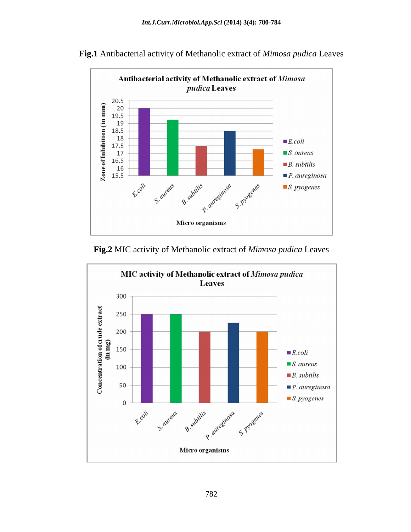

**Fig.1** Antibacterial activity of Methanolic extract of *Mimosa pudica* Leaves

**Fig.2** MIC activity of Methanolic extract of *Mimosa pudica* Leaves

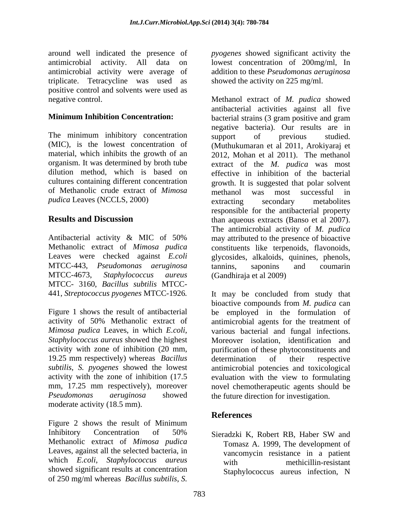around well indicated the presence of *pyogenes* showed significant activity the antimicrobial activity. All data on lowest concentration of 200mg/ml, In antimicrobial activity were average of triplicate. Tetracycline was used as positive control and solvents were used as

The minimum inhibitory concentration support of previous studied. (MIC), is the lowest concentration of of Methanolic crude extract of *Mimosa pudica* Leaves (NCCLS, 2000) extracting secondary metabolities

MTCC-443, *Pseudomonas aeruginosa*  MTCC- 3160, *Bacillus subtilis* MTCC- 441, *Streptococcus pyogenes* MTCC-1926*.* 

*Mimosa pudica* Leaves, in which *E.coli*, *Staphylococcus aureus* showed the highest 19.25 mm respectively) whereas *Bacillus Pseudomonas aeruginosa* showed the future direction for investigation. moderate activity (18.5 mm).

Figure 2 shows the result of Minimum Inhibitory Concentration of 50% Sieradzki K, Robert RB, Haber SW and Methanolic extract of *Mimosa pudica* Leaves, against all the selected bacteria, in which *E.coli*, *Staphylococcus aureus* with methicillin-resistant showed significant results at concentration of 250 mg/ml whereas *Bacillus subtilis*, *S.* 

addition to these *Pseudomonas aeruginosa* showed the activity on 225 mg/ml.

negative control. Methanol extract of *M. pudica* showed **Minimum Inhibition Concentration:** bacterial strains (3 gram positive and gram material, which inhibits the growth of an 2012, Mohan et al 2011). The methanol organism. It was determined by broth tube extract of the *M. pudica* was most dilution method, which is based on effective in inhibition of the bacterial cultures containing different concentration growth. It is suggested that polar solvent **Results and Discussion** than aqueous extracts (Banso et al 2007). Antibacterial activity & MIC of 50% may attributed to the presence of bioactive Methanolic extract of *Mimosa pudica* constituents like terpenoids, flavonoids, Leaves were checked against *E.coli*  glycosides, alkaloids, quinines, phenols, MTCC-4673, *Staphylococcus aureus* (Gandhiraja et al 2009) antibacterial activities against all five negative bacteria). Our results are in support of previous studied. (Muthukumaran et al 2011, Arokiyaraj et methanol was most successful in extracting secondary metabolites responsible for the antibacterial property than aqueous extracts (Banso et al 2007). The antimicrobial activity of *M. pudica* tannins, saponins and coumarin

Figure 1 shows the result of antibacterial be employed in the formulation of activity of 50% Methanolic extract of antimicrobial agents for the treatment of activity with zone of inhibition (20 mm, purification of these phytoconstituents and *subtilis*, *S. pyogenes* showed the lowest antimicrobial potencies and toxicological activity with the zone of inhibition (17.5 evaluation with the view to formulating mm, 17.25 mm respectively), moreover novel chemotherapeutic agents should be It may be concluded from study that bioactive compounds from *M. pudica* can various bacterial and fungal infections. Moreover isolation, identification and determination of their respective

# **References**

Sieradzki K, Robert RB, Haber SW and Tomasz A. 1999, The development of vancomycin resistance in a patient with methicillin-resistant Staphylococcus aureus infection, N